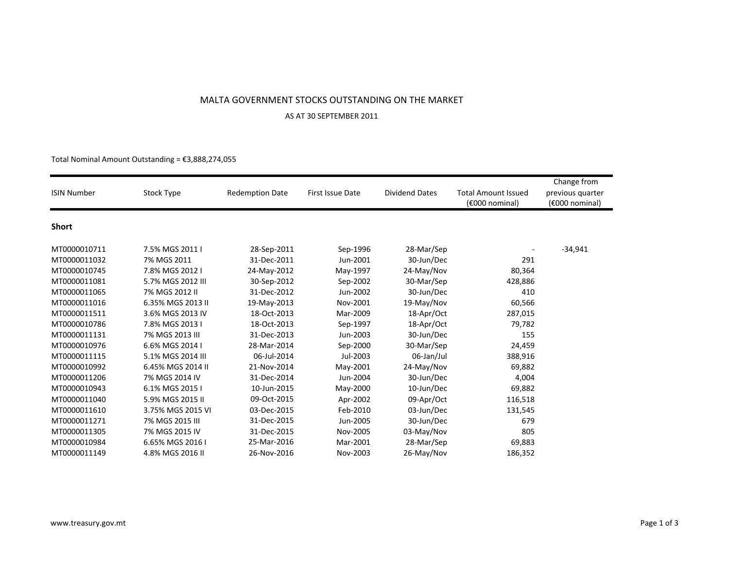## MALTA GOVERNMENT STOCKS OUTSTANDING ON THE MARKET

## AS AT 30 SEPTEMBER 2011

## Total Nominal Amount Outstanding = €3,888,274,055 $3,88$

| <b>ISIN Number</b> | Stock Type        | <b>Redemption Date</b> | First Issue Date | <b>Dividend Dates</b> | <b>Total Amount Issued</b><br>(€000 nominal) | Change from<br>previous quarter<br>(€000 nominal) |
|--------------------|-------------------|------------------------|------------------|-----------------------|----------------------------------------------|---------------------------------------------------|
| <b>Short</b>       |                   |                        |                  |                       |                                              |                                                   |
| MT0000010711       | 7.5% MGS 2011 I   | 28-Sep-2011            | Sep-1996         | 28-Mar/Sep            |                                              | $-34,941$                                         |
| MT0000011032       | 7% MGS 2011       | 31-Dec-2011            | Jun-2001         | 30-Jun/Dec            | 291                                          |                                                   |
| MT0000010745       | 7.8% MGS 2012 I   | 24-May-2012            | May-1997         | 24-May/Nov            | 80,364                                       |                                                   |
| MT0000011081       | 5.7% MGS 2012 III | 30-Sep-2012            | Sep-2002         | 30-Mar/Sep            | 428,886                                      |                                                   |
| MT0000011065       | 7% MGS 2012 II    | 31-Dec-2012            | Jun-2002         | 30-Jun/Dec            | 410                                          |                                                   |
| MT0000011016       | 6.35% MGS 2013 II | 19-May-2013            | Nov-2001         | 19-May/Nov            | 60,566                                       |                                                   |
| MT0000011511       | 3.6% MGS 2013 IV  | 18-Oct-2013            | Mar-2009         | 18-Apr/Oct            | 287,015                                      |                                                   |
| MT0000010786       | 7.8% MGS 2013 I   | 18-Oct-2013            | Sep-1997         | 18-Apr/Oct            | 79,782                                       |                                                   |
| MT0000011131       | 7% MGS 2013 III   | 31-Dec-2013            | Jun-2003         | 30-Jun/Dec            | 155                                          |                                                   |
| MT0000010976       | 6.6% MGS 2014 I   | 28-Mar-2014            | Sep-2000         | 30-Mar/Sep            | 24,459                                       |                                                   |
| MT0000011115       | 5.1% MGS 2014 III | 06-Jul-2014            | Jul-2003         | 06-Jan/Jul            | 388,916                                      |                                                   |
| MT0000010992       | 6.45% MGS 2014 II | 21-Nov-2014            | May-2001         | 24-May/Nov            | 69,882                                       |                                                   |
| MT0000011206       | 7% MGS 2014 IV    | 31-Dec-2014            | Jun-2004         | 30-Jun/Dec            | 4,004                                        |                                                   |
| MT0000010943       | 6.1% MGS 2015 I   | 10-Jun-2015            | May-2000         | 10-Jun/Dec            | 69,882                                       |                                                   |
| MT0000011040       | 5.9% MGS 2015 II  | 09-Oct-2015            | Apr-2002         | 09-Apr/Oct            | 116,518                                      |                                                   |
| MT0000011610       | 3.75% MGS 2015 VI | 03-Dec-2015            | Feb-2010         | 03-Jun/Dec            | 131,545                                      |                                                   |
| MT0000011271       | 7% MGS 2015 III   | 31-Dec-2015            | Jun-2005         | 30-Jun/Dec            | 679                                          |                                                   |
| MT0000011305       | 7% MGS 2015 IV    | 31-Dec-2015            | Nov-2005         | 03-May/Nov            | 805                                          |                                                   |
| MT0000010984       | 6.65% MGS 2016 I  | 25-Mar-2016            | Mar-2001         | 28-Mar/Sep            | 69,883                                       |                                                   |
| MT0000011149       | 4.8% MGS 2016 II  | 26-Nov-2016            | Nov-2003         | 26-May/Nov            | 186,352                                      |                                                   |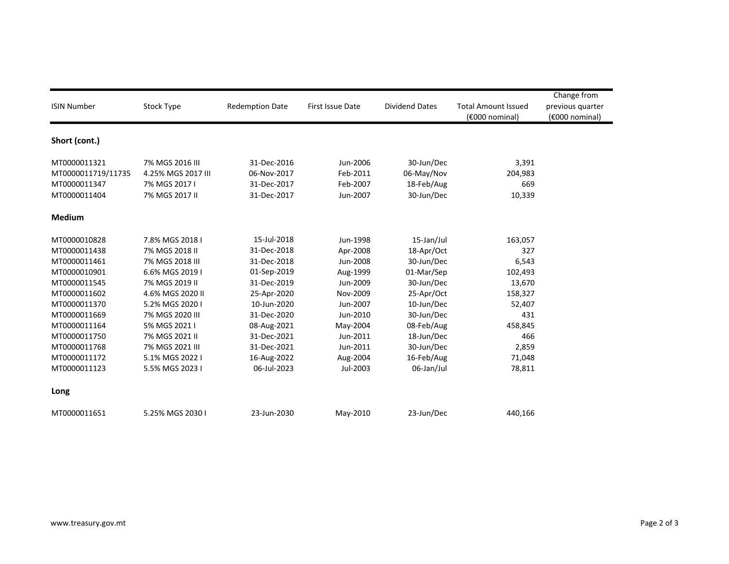| <b>ISIN Number</b>                                                           | Stock Type                                                                                | <b>Redemption Date</b>                                                  | First Issue Date                                         | <b>Dividend Dates</b>                                              | <b>Total Amount Issued</b><br>(€000 nominal) | Change from<br>previous quarter<br>(€000 nominal) |
|------------------------------------------------------------------------------|-------------------------------------------------------------------------------------------|-------------------------------------------------------------------------|----------------------------------------------------------|--------------------------------------------------------------------|----------------------------------------------|---------------------------------------------------|
| Short (cont.)                                                                |                                                                                           |                                                                         |                                                          |                                                                    |                                              |                                                   |
| MT0000011321<br>MT0000011719/11735<br>MT0000011347<br>MT0000011404           | 7% MGS 2016 III<br>4.25% MGS 2017 III<br>7% MGS 2017 I<br>7% MGS 2017 II                  | 31-Dec-2016<br>06-Nov-2017<br>31-Dec-2017<br>31-Dec-2017                | Jun-2006<br>Feb-2011<br>Feb-2007<br>Jun-2007             | 30-Jun/Dec<br>06-May/Nov<br>18-Feb/Aug<br>30-Jun/Dec               | 3,391<br>204,983<br>669<br>10,339            |                                                   |
| <b>Medium</b>                                                                |                                                                                           |                                                                         |                                                          |                                                                    |                                              |                                                   |
| MT0000010828<br>MT0000011438<br>MT0000011461<br>MT0000010901<br>MT0000011545 | 7.8% MGS 2018 I<br>7% MGS 2018 II<br>7% MGS 2018 III<br>6.6% MGS 2019 I<br>7% MGS 2019 II | 15-Jul-2018<br>31-Dec-2018<br>31-Dec-2018<br>01-Sep-2019<br>31-Dec-2019 | Jun-1998<br>Apr-2008<br>Jun-2008<br>Aug-1999<br>Jun-2009 | 15-Jan/Jul<br>18-Apr/Oct<br>30-Jun/Dec<br>01-Mar/Sep<br>30-Jun/Dec | 163,057<br>327<br>6,543<br>102,493<br>13,670 |                                                   |
| MT0000011602<br>MT0000011370<br>MT0000011669<br>MT0000011164<br>MT0000011750 | 4.6% MGS 2020 II<br>5.2% MGS 2020 I<br>7% MGS 2020 III<br>5% MGS 2021 I<br>7% MGS 2021 II | 25-Apr-2020<br>10-Jun-2020<br>31-Dec-2020<br>08-Aug-2021<br>31-Dec-2021 | Nov-2009<br>Jun-2007<br>Jun-2010<br>May-2004<br>Jun-2011 | 25-Apr/Oct<br>10-Jun/Dec<br>30-Jun/Dec<br>08-Feb/Aug               | 158,327<br>52,407<br>431<br>458,845<br>466   |                                                   |
| MT0000011768<br>MT0000011172<br>MT0000011123                                 | 7% MGS 2021 III<br>5.1% MGS 2022 I<br>5.5% MGS 2023 I                                     | 31-Dec-2021<br>16-Aug-2022<br>06-Jul-2023                               | Jun-2011<br>Aug-2004<br>Jul-2003                         | 18-Jun/Dec<br>30-Jun/Dec<br>16-Feb/Aug<br>06-Jan/Jul               | 2,859<br>71,048<br>78,811                    |                                                   |
| Long<br>MT0000011651                                                         | 5.25% MGS 2030 I                                                                          | 23-Jun-2030                                                             | May-2010                                                 | 23-Jun/Dec                                                         | 440,166                                      |                                                   |